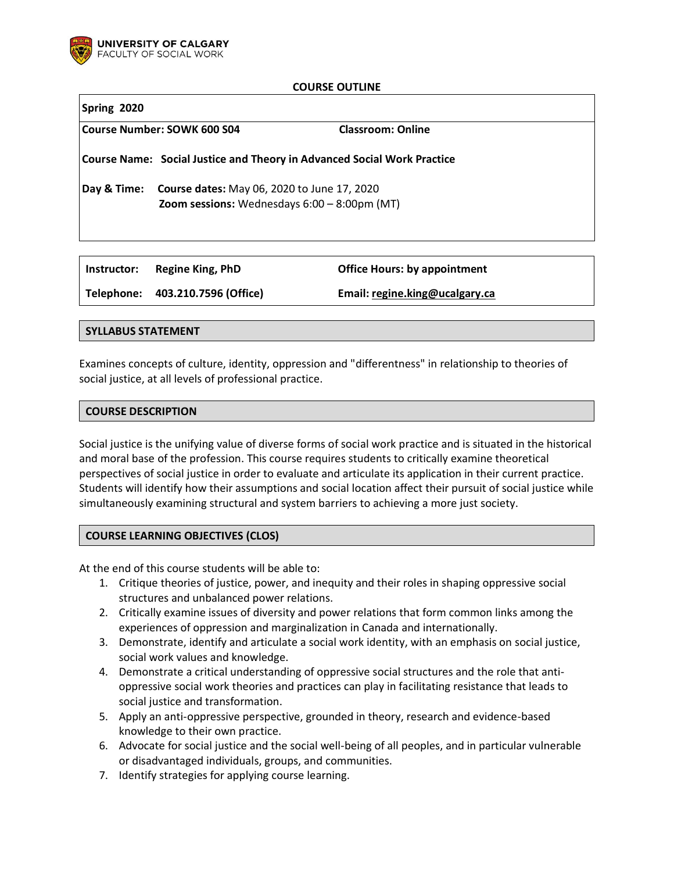

### **COURSE OUTLINE**

<span id="page-0-1"></span><span id="page-0-0"></span>

| Spring 2020                 |                                                                                                                     |                          |
|-----------------------------|---------------------------------------------------------------------------------------------------------------------|--------------------------|
| Course Number: SOWK 600 S04 |                                                                                                                     | <b>Classroom: Online</b> |
|                             | Course Name: Social Justice and Theory in Advanced Social Work Practice                                             |                          |
| Day & Time:                 | <b>Course dates:</b> May 06, 2020 to June 17, 2020<br><b>Zoom sessions:</b> Wednesdays $6:00 - 8:00 \text{pm}$ (MT) |                          |
|                             |                                                                                                                     |                          |

**Telephone: 403.210.7596 (Office) Email[: regine.king@ucalgary.ca](mailto:regine.king@ucalgary.ca)**

# **SYLLABUS STATEMENT**

Examines concepts of culture, identity, oppression and "differentness" in relationship to theories of social justice, at all levels of professional practice.

**Instructor: Regine King, PhD Office Hours: by appointment**

### **COURSE DESCRIPTION**

Social justice is the unifying value of diverse forms of social work practice and is situated in the historical and moral base of the profession. This course requires students to critically examine theoretical perspectives of social justice in order to evaluate and articulate its application in their current practice. Students will identify how their assumptions and social location affect their pursuit of social justice while simultaneously examining structural and system barriers to achieving a more just society.

### **COURSE LEARNING OBJECTIVES (CLOS)**

At the end of this course students will be able to:

- 1. Critique theories of justice, power, and inequity and their roles in shaping oppressive social structures and unbalanced power relations.
- 2. Critically examine issues of diversity and power relations that form common links among the experiences of oppression and marginalization in Canada and internationally.
- 3. Demonstrate, identify and articulate a social work identity, with an emphasis on social justice, social work values and knowledge.
- 4. Demonstrate a critical understanding of oppressive social structures and the role that antioppressive social work theories and practices can play in facilitating resistance that leads to social justice and transformation.
- 5. Apply an anti-oppressive perspective, grounded in theory, research and evidence-based knowledge to their own practice.
- 6. Advocate for social justice and the social well-being of all peoples, and in particular vulnerable or disadvantaged individuals, groups, and communities.
- 7. Identify strategies for applying course learning.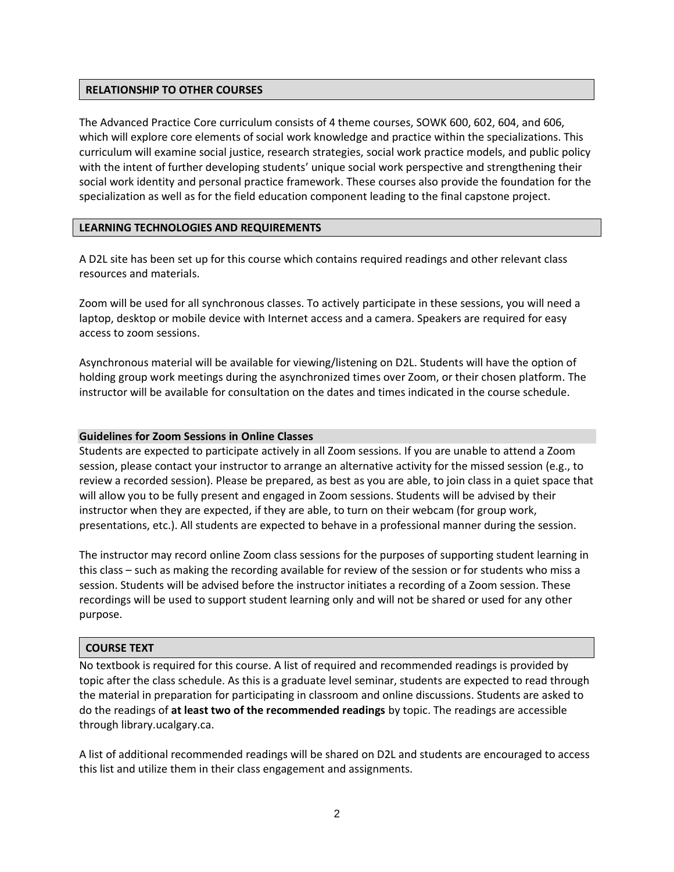# **RELATIONSHIP TO OTHER COURSES**

The Advanced Practice Core curriculum consists of 4 theme courses, SOWK 600, 602, 604, and 606, which will explore core elements of social work knowledge and practice within the specializations. This curriculum will examine social justice, research strategies, social work practice models, and public policy with the intent of further developing students' unique social work perspective and strengthening their social work identity and personal practice framework. These courses also provide the foundation for the specialization as well as for the field education component leading to the final capstone project.

### **LEARNING TECHNOLOGIES AND REQUIREMENTS**

A D2L site has been set up for this course which contains required readings and other relevant class resources and materials.

Zoom will be used for all synchronous classes. To actively participate in these sessions, you will need a laptop, desktop or mobile device with Internet access and a camera. Speakers are required for easy access to zoom sessions.

Asynchronous material will be available for viewing/listening on D2L. Students will have the option of holding group work meetings during the asynchronized times over Zoom, or their chosen platform. The instructor will be available for consultation on the dates and times indicated in the course schedule.

### **Guidelines for Zoom Sessions in Online Classes**

Students are expected to participate actively in all Zoom sessions. If you are unable to attend a Zoom session, please contact your instructor to arrange an alternative activity for the missed session (e.g., to review a recorded session). Please be prepared, as best as you are able, to join class in a quiet space that will allow you to be fully present and engaged in Zoom sessions. Students will be advised by their instructor when they are expected, if they are able, to turn on their webcam (for group work, presentations, etc.). All students are expected to behave in a professional manner during the session.

The instructor may record online Zoom class sessions for the purposes of supporting student learning in this class – such as making the recording available for review of the session or for students who miss a session. Students will be advised before the instructor initiates a recording of a Zoom session. These recordings will be used to support student learning only and will not be shared or used for any other purpose.

### **COURSE TEXT**

No textbook is required for this course. A list of required and recommended readings is provided by topic after the class schedule. As this is a graduate level seminar, students are expected to read through the material in preparation for participating in classroom and online discussions. Students are asked to do the readings of **at least two of the recommended readings** by topic. The readings are accessible through library.ucalgary.ca.

A list of additional recommended readings will be shared on D2L and students are encouraged to access this list and utilize them in their class engagement and assignments.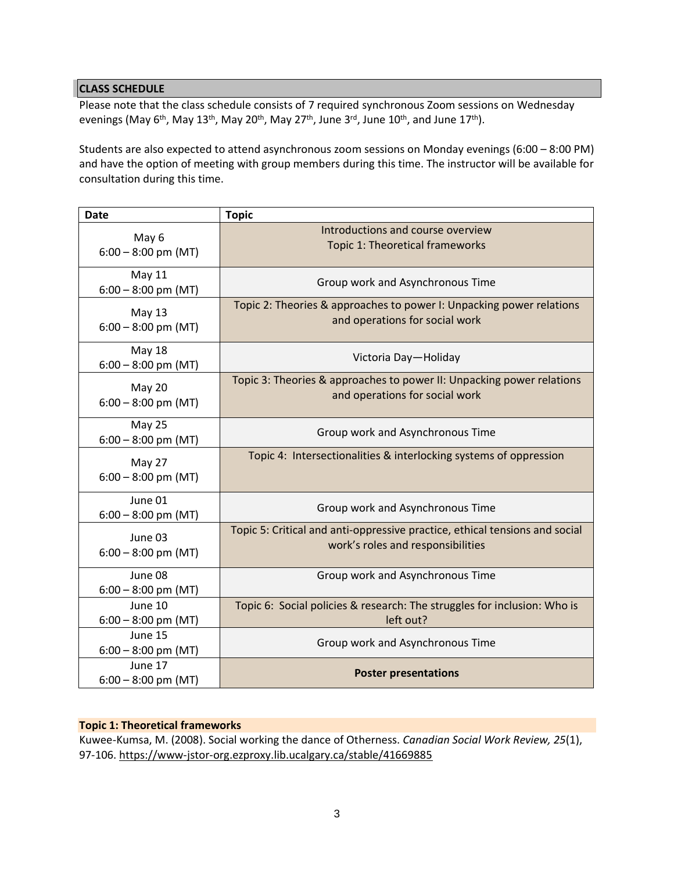# **CLASS SCHEDULE**

Please note that the class schedule consists of 7 required synchronous Zoom sessions on Wednesday evenings (May 6<sup>th</sup>, May 13<sup>th</sup>, May 20<sup>th</sup>, May 27<sup>th</sup>, June 3<sup>rd</sup>, June 10<sup>th</sup>, and June 17<sup>th</sup>).

Students are also expected to attend asynchronous zoom sessions on Monday evenings (6:00 – 8:00 PM) and have the option of meeting with group members during this time. The instructor will be available for consultation during this time.

| <b>Date</b>                            | <b>Topic</b>                                                                                                     |
|----------------------------------------|------------------------------------------------------------------------------------------------------------------|
| May 6<br>$6:00 - 8:00$ pm (MT)         | Introductions and course overview<br>Topic 1: Theoretical frameworks                                             |
| <b>May 11</b><br>$6:00 - 8:00$ pm (MT) | Group work and Asynchronous Time                                                                                 |
| May 13<br>$6:00 - 8:00$ pm (MT)        | Topic 2: Theories & approaches to power I: Unpacking power relations<br>and operations for social work           |
| <b>May 18</b><br>$6:00 - 8:00$ pm (MT) | Victoria Day-Holiday                                                                                             |
| May 20<br>$6:00 - 8:00$ pm (MT)        | Topic 3: Theories & approaches to power II: Unpacking power relations<br>and operations for social work          |
| May 25<br>$6:00 - 8:00$ pm (MT)        | Group work and Asynchronous Time                                                                                 |
| May 27<br>$6:00 - 8:00$ pm (MT)        | Topic 4: Intersectionalities & interlocking systems of oppression                                                |
| June 01<br>$6:00 - 8:00$ pm (MT)       | Group work and Asynchronous Time                                                                                 |
| June 03<br>$6:00 - 8:00$ pm (MT)       | Topic 5: Critical and anti-oppressive practice, ethical tensions and social<br>work's roles and responsibilities |
| June 08<br>$6:00 - 8:00$ pm (MT)       | Group work and Asynchronous Time                                                                                 |
| June 10<br>$6:00 - 8:00$ pm (MT)       | Topic 6: Social policies & research: The struggles for inclusion: Who is<br>left out?                            |
| June 15<br>$6:00 - 8:00$ pm (MT)       | Group work and Asynchronous Time                                                                                 |
| June 17<br>$6:00 - 8:00$ pm (MT)       | <b>Poster presentations</b>                                                                                      |

# **Topic 1: Theoretical frameworks**

Kuwee-Kumsa, M. (2008). Social working the dance of Otherness. *Canadian Social Work Review, 25*(1), 97-106.<https://www-jstor-org.ezproxy.lib.ucalgary.ca/stable/41669885>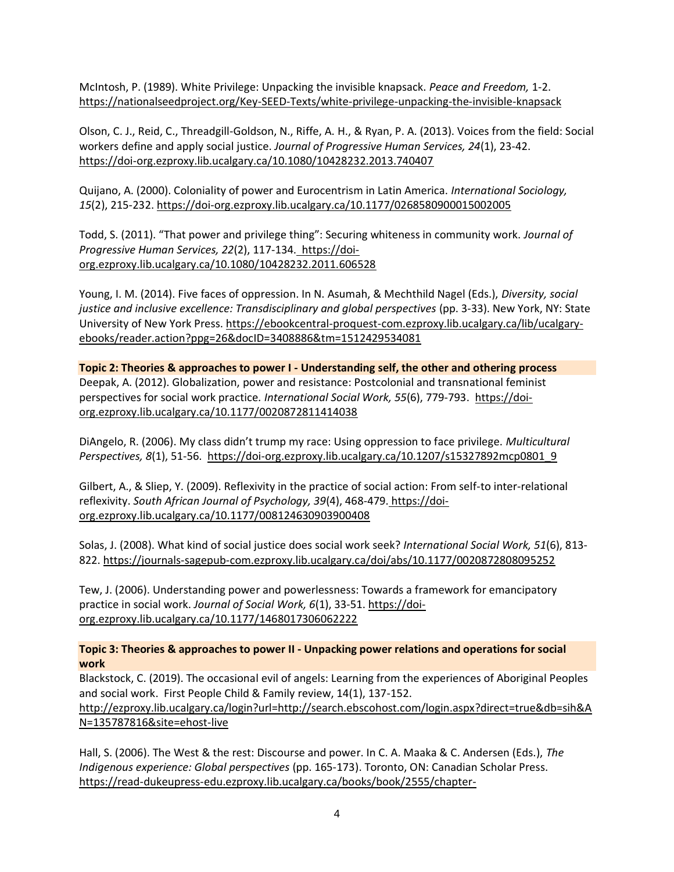McIntosh, P. (1989). White Privilege: Unpacking the invisible knapsack. *Peace and Freedom,* 1-2. <https://nationalseedproject.org/Key-SEED-Texts/white-privilege-unpacking-the-invisible-knapsack>

Olson, C. J., Reid, C., Threadgill-Goldson, N., Riffe, A. H., & Ryan, P. A. (2013). Voices from the field: Social workers define and apply social justice. *Journal of Progressive Human Services, 24*(1), 23-42. <https://doi-org.ezproxy.lib.ucalgary.ca/10.1080/10428232.2013.740407>

Quijano, A. (2000). Coloniality of power and Eurocentrism in Latin America. *International Sociology, 15*(2), 215-232. <https://doi-org.ezproxy.lib.ucalgary.ca/10.1177/0268580900015002005>

Todd, S. (2011). "That power and privilege thing": Securing whiteness in community work. *Journal of Progressive Human Services, 22*(2), 117-134. [https://doi](https://doi-org.ezproxy.lib.ucalgary.ca/10.1080/10428232.2011.606528)[org.ezproxy.lib.ucalgary.ca/10.1080/10428232.2011.606528](https://doi-org.ezproxy.lib.ucalgary.ca/10.1080/10428232.2011.606528)

Young, I. M. (2014). Five faces of oppression. In N. Asumah, & Mechthild Nagel (Eds.), *Diversity, social justice and inclusive excellence: Transdisciplinary and global perspectives* (pp. 3-33). New York, NY: State University of New York Press. [https://ebookcentral-proquest-com.ezproxy.lib.ucalgary.ca/lib/ucalgary](https://ebookcentral-proquest-com.ezproxy.lib.ucalgary.ca/lib/ucalgary-ebooks/reader.action?ppg=26&docID=3408886&tm=1512429534081)[ebooks/reader.action?ppg=26&docID=3408886&tm=1512429534081](https://ebookcentral-proquest-com.ezproxy.lib.ucalgary.ca/lib/ucalgary-ebooks/reader.action?ppg=26&docID=3408886&tm=1512429534081)

**Topic 2: Theories & approaches to power I - Understanding self, the other and othering process** Deepak, A. (2012). Globalization, power and resistance: Postcolonial and transnational feminist perspectives for social work practice*. International Social Work, 55*(6), 779-793. [https://doi](https://doi-org.ezproxy.lib.ucalgary.ca/10.1177/0020872811414038)[org.ezproxy.lib.ucalgary.ca/10.1177/0020872811414038](https://doi-org.ezproxy.lib.ucalgary.ca/10.1177/0020872811414038)

DiAngelo, R. (2006). My class didn't trump my race: Using oppression to face privilege. *Multicultural Perspectives, 8*(1), 51-56. [https://doi-org.ezproxy.lib.ucalgary.ca/10.1207/s15327892mcp0801\\_9](https://doi-org.ezproxy.lib.ucalgary.ca/10.1207/s15327892mcp0801_9)

Gilbert, A., & Sliep, Y. (2009). Reflexivity in the practice of social action: From self-to inter-relational reflexivity. *South African Journal of Psychology, 39*(4), 468-479. [https://doi](https://doi-org.ezproxy.lib.ucalgary.ca/10.1177/008124630903900408)[org.ezproxy.lib.ucalgary.ca/10.1177/008124630903900408](https://doi-org.ezproxy.lib.ucalgary.ca/10.1177/008124630903900408)

Solas, J. (2008). What kind of social justice does social work seek? *International Social Work, 51*(6), 813- 822.<https://journals-sagepub-com.ezproxy.lib.ucalgary.ca/doi/abs/10.1177/0020872808095252>

Tew, J. (2006). Understanding power and powerlessness: Towards a framework for emancipatory practice in social work. *Journal of Social Work, 6*(1), 33-51[. https://doi](https://doi-org.ezproxy.lib.ucalgary.ca/10.1177/1468017306062222)[org.ezproxy.lib.ucalgary.ca/10.1177/1468017306062222](https://doi-org.ezproxy.lib.ucalgary.ca/10.1177/1468017306062222)

**Topic 3: Theories & approaches to power II - Unpacking power relations and operations for social work**

Blackstock, C. (2019). The occasional evil of angels: Learning from the experiences of Aboriginal Peoples and social work. First People Child & Family review, 14(1), 137-152. [http://ezproxy.lib.ucalgary.ca/login?url=http://search.ebscohost.com/login.aspx?direct=true&db=sih&A](http://ezproxy.lib.ucalgary.ca/login?url=http://search.ebscohost.com/login.aspx?direct=true&db=sih&AN=135787816&site=ehost-live) [N=135787816&site=ehost-live](http://ezproxy.lib.ucalgary.ca/login?url=http://search.ebscohost.com/login.aspx?direct=true&db=sih&AN=135787816&site=ehost-live)

Hall, S. (2006). The West & the rest: Discourse and power. In C. A. Maaka & C. Andersen (Eds.), *The Indigenous experience: Global perspectives* (pp. 165-173). Toronto, ON: Canadian Scholar Press. [https://read-dukeupress-edu.ezproxy.lib.ucalgary.ca/books/book/2555/chapter-](https://read-dukeupress-edu.ezproxy.lib.ucalgary.ca/books/book/2555/chapter-standard/1360482/The-West-and-the-Rest-Discourse-and-Power-1992)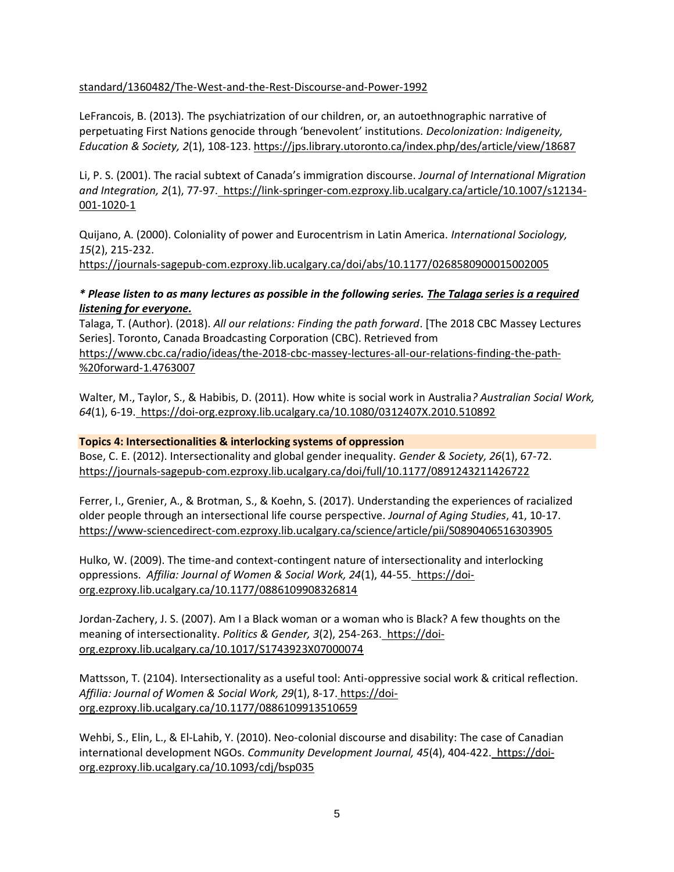# [standard/1360482/The-West-and-the-Rest-Discourse-and-Power-1992](https://read-dukeupress-edu.ezproxy.lib.ucalgary.ca/books/book/2555/chapter-standard/1360482/The-West-and-the-Rest-Discourse-and-Power-1992)

LeFrancois, B. (2013). The psychiatrization of our children, or, an autoethnographic narrative of perpetuating First Nations genocide through 'benevolent' institutions. *Decolonization: Indigeneity, Education & Society, 2*(1), 108-123.<https://jps.library.utoronto.ca/index.php/des/article/view/18687>

Li, P. S. (2001). The racial subtext of Canada's immigration discourse. *Journal of International Migration and Integration, 2*(1), 77-97. [https://link-springer-com.ezproxy.lib.ucalgary.ca/article/10.1007/s12134-](https://link-springer-com.ezproxy.lib.ucalgary.ca/article/10.1007/s12134-001-1020-1) [001-1020-1](https://link-springer-com.ezproxy.lib.ucalgary.ca/article/10.1007/s12134-001-1020-1)

Quijano, A. (2000). Coloniality of power and Eurocentrism in Latin America. *International Sociology, 15*(2), 215-232.

<https://journals-sagepub-com.ezproxy.lib.ucalgary.ca/doi/abs/10.1177/0268580900015002005>

# *\* Please listen to as many lectures as possible in the following series. The Talaga series is a required listening for everyone.*

Talaga, T. (Author). (2018). *All our relations: Finding the path forward*. [The 2018 CBC Massey Lectures Series]. Toronto, Canada Broadcasting Corporation (CBC). Retrieved from [https://www.cbc.ca/radio/ideas/the-2018-cbc-massey-lectures-all-our-relations-finding-the-path-](https://www.cbc.ca/radio/ideas/the-2018-cbc-massey-lectures-all-our-relations-finding-the-path-%20forward-1.4763007) [%20forward-1.4763007](https://www.cbc.ca/radio/ideas/the-2018-cbc-massey-lectures-all-our-relations-finding-the-path-%20forward-1.4763007)

Walter, M., Taylor, S., & Habibis, D. (2011). How white is social work in Australia*? Australian Social Work, 64*(1), 6-19. <https://doi-org.ezproxy.lib.ucalgary.ca/10.1080/0312407X.2010.510892>

### **Topics 4: Intersectionalities & interlocking systems of oppression**

Bose, C. E. (2012). Intersectionality and global gender inequality. *Gender & Society, 26*(1), 67-72. <https://journals-sagepub-com.ezproxy.lib.ucalgary.ca/doi/full/10.1177/0891243211426722>

Ferrer, I., Grenier, A., & Brotman, S., & Koehn, S. (2017). Understanding the experiences of racialized older people through an intersectional life course perspective. *Journal of Aging Studies*, 41, 10-17. <https://www-sciencedirect-com.ezproxy.lib.ucalgary.ca/science/article/pii/S0890406516303905>

Hulko, W. (2009). The time-and context-contingent nature of intersectionality and interlocking oppressions. *Affilia: Journal of Women & Social Work, 24*(1), 44-55. [https://doi](https://doi-org.ezproxy.lib.ucalgary.ca/10.1177/0886109908326814)[org.ezproxy.lib.ucalgary.ca/10.1177/0886109908326814](https://doi-org.ezproxy.lib.ucalgary.ca/10.1177/0886109908326814)

Jordan-Zachery, J. S. (2007). Am I a Black woman or a woman who is Black? A few thoughts on the meaning of intersectionality. *Politics & Gender, 3*(2), 254-263. [https://doi](https://doi-org.ezproxy.lib.ucalgary.ca/10.1017/S1743923X07000074)[org.ezproxy.lib.ucalgary.ca/10.1017/S1743923X07000074](https://doi-org.ezproxy.lib.ucalgary.ca/10.1017/S1743923X07000074)

Mattsson, T. (2104). Intersectionality as a useful tool: Anti-oppressive social work & critical reflection. *Affilia: Journal of Women & Social Work, 29*(1), 8-17. [https://doi](https://doi-org.ezproxy.lib.ucalgary.ca/10.1177/0886109913510659)[org.ezproxy.lib.ucalgary.ca/10.1177/0886109913510659](https://doi-org.ezproxy.lib.ucalgary.ca/10.1177/0886109913510659)

Wehbi, S., Elin, L., & El-Lahib, Y. (2010). Neo-colonial discourse and disability: The case of Canadian international development NGOs. *Community Development Journal, 45*(4), 404-422. [https://doi](https://doi-org.ezproxy.lib.ucalgary.ca/10.1093/cdj/bsp035)[org.ezproxy.lib.ucalgary.ca/10.1093/cdj/bsp035](https://doi-org.ezproxy.lib.ucalgary.ca/10.1093/cdj/bsp035)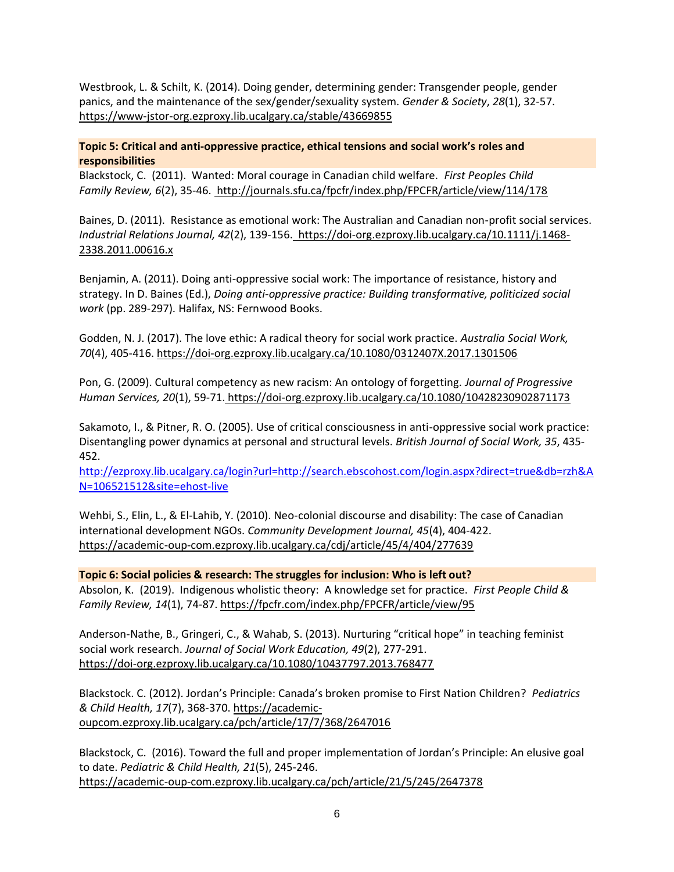Westbrook, L. & Schilt, K. (2014). Doing gender, determining gender: Transgender people, gender panics, and the maintenance of the sex/gender/sexuality system. *Gender & Society*, *28*(1), 32-57. <https://www-jstor-org.ezproxy.lib.ucalgary.ca/stable/43669855>

### **Topic 5: Critical and anti-oppressive practice, ethical tensions and social work's roles and responsibilities**

Blackstock, C. (2011). Wanted: Moral courage in Canadian child welfare. *First Peoples Child Family Review, 6*(2), 35-46. <http://journals.sfu.ca/fpcfr/index.php/FPCFR/article/view/114/178>

Baines, D. (2011). Resistance as emotional work: The Australian and Canadian non-profit social services. *Industrial Relations Journal, 42*(2), 139-156. [https://doi-org.ezproxy.lib.ucalgary.ca/10.1111/j.1468-](https://doi-org.ezproxy.lib.ucalgary.ca/10.1111/j.1468-2338.2011.00616.x) [2338.2011.00616.x](https://doi-org.ezproxy.lib.ucalgary.ca/10.1111/j.1468-2338.2011.00616.x)

Benjamin, A. (2011). Doing anti-oppressive social work: The importance of resistance, history and strategy. In D. Baines (Ed.), *Doing anti-oppressive practice: Building transformative, politicized social work* (pp. 289-297). Halifax, NS: Fernwood Books.

Godden, N. J. (2017). The love ethic: A radical theory for social work practice. *Australia Social Work, 70*(4), 405-416[. https://doi-org.ezproxy.lib.ucalgary.ca/10.1080/0312407X.2017.1301506](https://doi-org.ezproxy.lib.ucalgary.ca/10.1080/0312407X.2017.1301506)

Pon, G. (2009). Cultural competency as new racism: An ontology of forgetting. *Journal of Progressive Human Services, 20*(1), 59-71. <https://doi-org.ezproxy.lib.ucalgary.ca/10.1080/10428230902871173>

Sakamoto, I., & Pitner, R. O. (2005). Use of critical consciousness in anti-oppressive social work practice: Disentangling power dynamics at personal and structural levels. *British Journal of Social Work, 35*, 435- 452.

[http://ezproxy.lib.ucalgary.ca/login?url=http://search.ebscohost.com/login.aspx?direct=true&db=rzh&A](http://ezproxy.lib.ucalgary.ca/login?url=http://search.ebscohost.com/login.aspx?direct=true&db=rzh&AN=106521512&site=ehost-live) [N=106521512&site=ehost-live](http://ezproxy.lib.ucalgary.ca/login?url=http://search.ebscohost.com/login.aspx?direct=true&db=rzh&AN=106521512&site=ehost-live)

Wehbi, S., Elin, L., & El-Lahib, Y. (2010). Neo-colonial discourse and disability: The case of Canadian international development NGOs. *Community Development Journal, 45*(4), 404-422. <https://academic-oup-com.ezproxy.lib.ucalgary.ca/cdj/article/45/4/404/277639>

**Topic 6: Social policies & research: The struggles for inclusion: Who is left out?** Absolon, K. (2019). Indigenous wholistic theory: A knowledge set for practice. *First People Child & Family Review, 14*(1), 74-87. <https://fpcfr.com/index.php/FPCFR/article/view/95>

Anderson-Nathe, B., Gringeri, C., & Wahab, S. (2013). Nurturing "critical hope" in teaching feminist social work research. *Journal of Social Work Education, 49*(2), 277-291. <https://doi-org.ezproxy.lib.ucalgary.ca/10.1080/10437797.2013.768477>

Blackstock. C. (2012). Jordan's Principle: Canada's broken promise to First Nation Children? *Pediatrics & Child Health, 17*(7), 368-370. [https://academic](https://academic-oupcom.ezproxy.lib.ucalgary.ca/pch/article/17/7/368/2647016)[oupcom.ezproxy.lib.ucalgary.ca/pch/article/17/7/368/2647016](https://academic-oupcom.ezproxy.lib.ucalgary.ca/pch/article/17/7/368/2647016)

Blackstock, C. (2016). Toward the full and proper implementation of Jordan's Principle: An elusive goal to date. *Pediatric & Child Health, 21*(5), 245-246. <https://academic-oup-com.ezproxy.lib.ucalgary.ca/pch/article/21/5/245/2647378>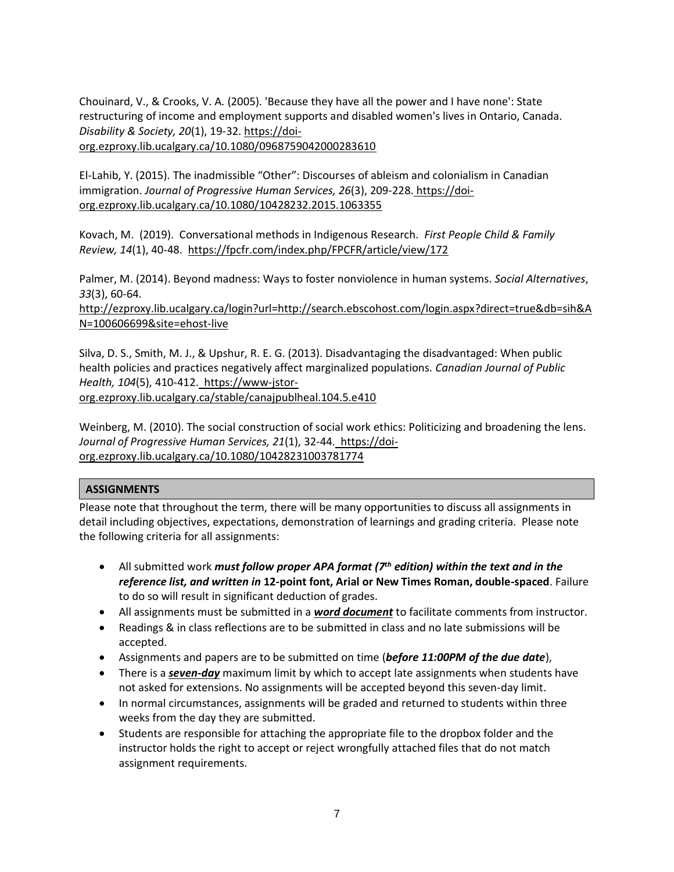Chouinard, V., & Crooks, V. A. (2005). 'Because they have all the power and I have none': State restructuring of income and employment supports and disabled women's lives in Ontario, Canada. *Disability & Society, 20*(1), 19-32. [https://doi-](https://doi-org.ezproxy.lib.ucalgary.ca/10.1080/0968759042000283610)

[org.ezproxy.lib.ucalgary.ca/10.1080/0968759042000283610](https://doi-org.ezproxy.lib.ucalgary.ca/10.1080/0968759042000283610)

El-Lahib, Y. (2015). The inadmissible "Other": Discourses of ableism and colonialism in Canadian immigration. *Journal of Progressive Human Services, 26*(3), 209-228. [https://doi](https://doi-org.ezproxy.lib.ucalgary.ca/10.1080/10428232.2015.1063355)[org.ezproxy.lib.ucalgary.ca/10.1080/10428232.2015.1063355](https://doi-org.ezproxy.lib.ucalgary.ca/10.1080/10428232.2015.1063355)

Kovach, M. (2019). Conversational methods in Indigenous Research. *First People Child & Family Review, 14*(1), 40-48. <https://fpcfr.com/index.php/FPCFR/article/view/172>

Palmer, M. (2014). Beyond madness: Ways to foster nonviolence in human systems. *Social Alternatives*, *33*(3), 60-64.

[http://ezproxy.lib.ucalgary.ca/login?url=http://search.ebscohost.com/login.aspx?direct=true&db=sih&A](http://ezproxy.lib.ucalgary.ca/login?url=http://search.ebscohost.com/login.aspx?direct=true&db=sih&AN=100606699&site=ehost-live) [N=100606699&site=ehost-live](http://ezproxy.lib.ucalgary.ca/login?url=http://search.ebscohost.com/login.aspx?direct=true&db=sih&AN=100606699&site=ehost-live)

Silva, D. S., Smith, M. J., & Upshur, R. E. G. (2013). Disadvantaging the disadvantaged: When public health policies and practices negatively affect marginalized populations. *Canadian Journal of Public Health, 104*(5), 410-412. [https://www-jstor](https://www-jstor-org.ezproxy.lib.ucalgary.ca/stable/canajpublheal.104.5.e410)[org.ezproxy.lib.ucalgary.ca/stable/canajpublheal.104.5.e410](https://www-jstor-org.ezproxy.lib.ucalgary.ca/stable/canajpublheal.104.5.e410)

Weinberg, M. (2010). The social construction of social work ethics: Politicizing and broadening the lens. *Journal of Progressive Human Services, 21*(1), 32-44. [https://doi](https://doi-org.ezproxy.lib.ucalgary.ca/10.1080/10428231003781774)[org.ezproxy.lib.ucalgary.ca/10.1080/10428231003781774](https://doi-org.ezproxy.lib.ucalgary.ca/10.1080/10428231003781774)

# **ASSIGNMENTS**

Please note that throughout the term, there will be many opportunities to discuss all assignments in detail including objectives, expectations, demonstration of learnings and grading criteria. Please note the following criteria for all assignments:

- All submitted work *must follow proper APA format (7th edition) within the text and in the reference list, and written in* **12-point font, Arial or New Times Roman, double-spaced**. Failure to do so will result in significant deduction of grades.
- All assignments must be submitted in a *word document* to facilitate comments from instructor.
- Readings & in class reflections are to be submitted in class and no late submissions will be accepted.
- Assignments and papers are to be submitted on time (*before 11:00PM of the due date*),
- There is a *seven-day* maximum limit by which to accept late assignments when students have not asked for extensions. No assignments will be accepted beyond this seven-day limit.
- In normal circumstances, assignments will be graded and returned to students within three weeks from the day they are submitted.
- Students are responsible for attaching the appropriate file to the dropbox folder and the instructor holds the right to accept or reject wrongfully attached files that do not match assignment requirements.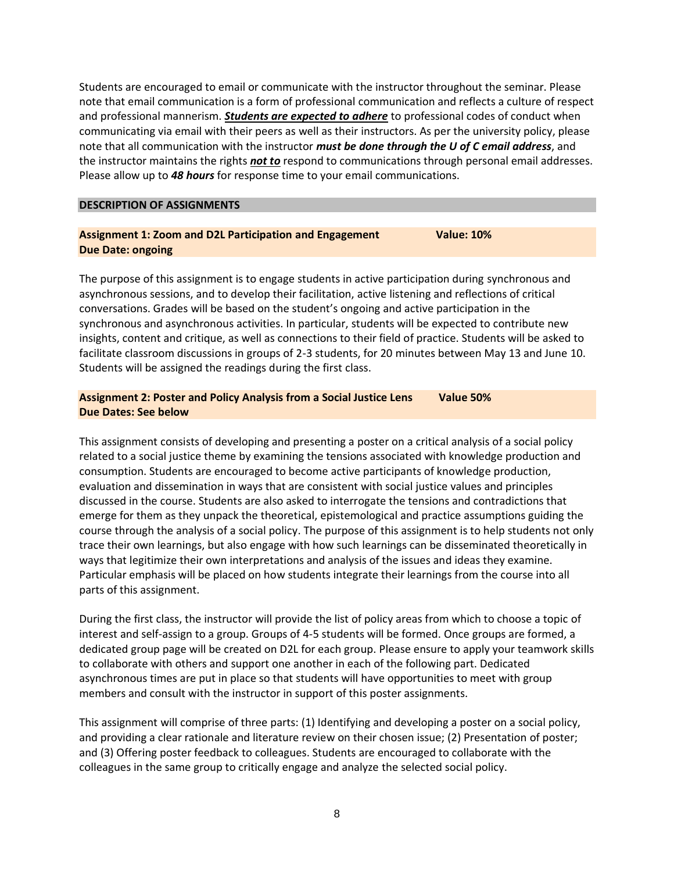Students are encouraged to email or communicate with the instructor throughout the seminar. Please note that email communication is a form of professional communication and reflects a culture of respect and professional mannerism. *Students are expected to adhere* to professional codes of conduct when communicating via email with their peers as well as their instructors. As per the university policy, please note that all communication with the instructor *must be done through the U of C email address*, and the instructor maintains the rights *not to* respond to communications through personal email addresses. Please allow up to *48 hours* for response time to your email communications.

### **DESCRIPTION OF ASSIGNMENTS**

### **Assignment 1: Zoom and D2L Participation and Engagement Value: 10% Due Date: ongoing**

The purpose of this assignment is to engage students in active participation during synchronous and asynchronous sessions, and to develop their facilitation, active listening and reflections of critical conversations. Grades will be based on the student's ongoing and active participation in the synchronous and asynchronous activities. In particular, students will be expected to contribute new insights, content and critique, as well as connections to their field of practice. Students will be asked to facilitate classroom discussions in groups of 2-3 students, for 20 minutes between May 13 and June 10. Students will be assigned the readings during the first class.

# **Assignment 2: Poster and Policy Analysis from a Social Justice Lens Value 50% Due Dates: See below**

This assignment consists of developing and presenting a poster on a critical analysis of a social policy related to a social justice theme by examining the tensions associated with knowledge production and consumption. Students are encouraged to become active participants of knowledge production, evaluation and dissemination in ways that are consistent with social justice values and principles discussed in the course. Students are also asked to interrogate the tensions and contradictions that emerge for them as they unpack the theoretical, epistemological and practice assumptions guiding the course through the analysis of a social policy. The purpose of this assignment is to help students not only trace their own learnings, but also engage with how such learnings can be disseminated theoretically in ways that legitimize their own interpretations and analysis of the issues and ideas they examine. Particular emphasis will be placed on how students integrate their learnings from the course into all parts of this assignment.

During the first class, the instructor will provide the list of policy areas from which to choose a topic of interest and self-assign to a group. Groups of 4-5 students will be formed. Once groups are formed, a dedicated group page will be created on D2L for each group. Please ensure to apply your teamwork skills to collaborate with others and support one another in each of the following part. Dedicated asynchronous times are put in place so that students will have opportunities to meet with group members and consult with the instructor in support of this poster assignments.

This assignment will comprise of three parts: (1) Identifying and developing a poster on a social policy, and providing a clear rationale and literature review on their chosen issue; (2) Presentation of poster; and (3) Offering poster feedback to colleagues. Students are encouraged to collaborate with the colleagues in the same group to critically engage and analyze the selected social policy.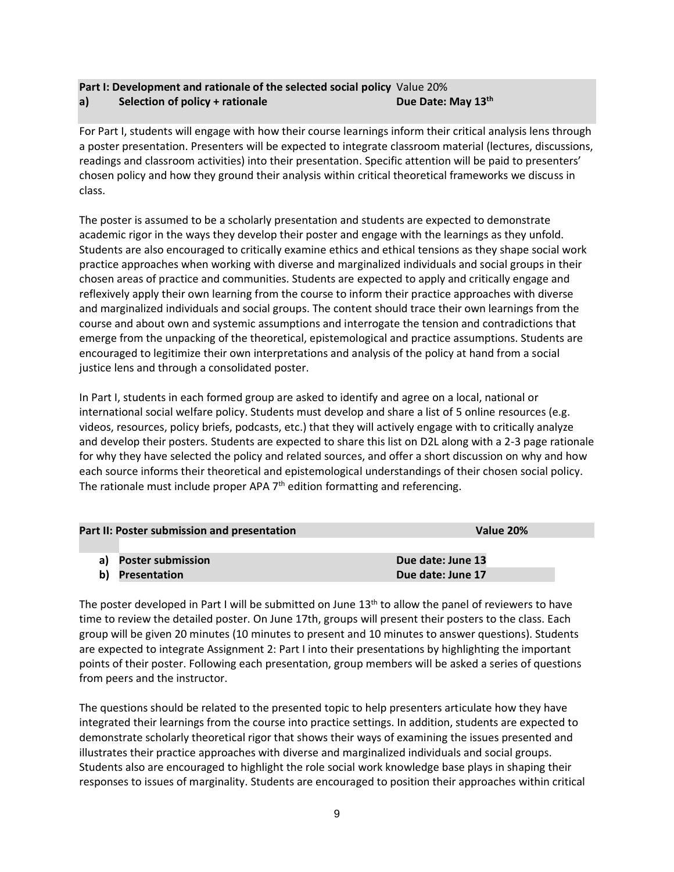# **Part I: Development and rationale of the selected social policy** Value 20% **a**) **Selection of policy + rationale <b>Due Date:** May 13<sup>th</sup>

For Part I, students will engage with how their course learnings inform their critical analysis lens through a poster presentation. Presenters will be expected to integrate classroom material (lectures, discussions, readings and classroom activities) into their presentation. Specific attention will be paid to presenters' chosen policy and how they ground their analysis within critical theoretical frameworks we discuss in class.

The poster is assumed to be a scholarly presentation and students are expected to demonstrate academic rigor in the ways they develop their poster and engage with the learnings as they unfold. Students are also encouraged to critically examine ethics and ethical tensions as they shape social work practice approaches when working with diverse and marginalized individuals and social groups in their chosen areas of practice and communities. Students are expected to apply and critically engage and reflexively apply their own learning from the course to inform their practice approaches with diverse and marginalized individuals and social groups. The content should trace their own learnings from the course and about own and systemic assumptions and interrogate the tension and contradictions that emerge from the unpacking of the theoretical, epistemological and practice assumptions. Students are encouraged to legitimize their own interpretations and analysis of the policy at hand from a social justice lens and through a consolidated poster.

In Part I, students in each formed group are asked to identify and agree on a local, national or international social welfare policy. Students must develop and share a list of 5 online resources (e.g. videos, resources, policy briefs, podcasts, etc.) that they will actively engage with to critically analyze and develop their posters. Students are expected to share this list on D2L along with a 2-3 page rationale for why they have selected the policy and related sources, and offer a short discussion on why and how each source informs their theoretical and epistemological understandings of their chosen social policy. The rationale must include proper APA  $7<sup>th</sup>$  edition formatting and referencing.

| Part II: Poster submission and presentation | Value 20%            |                   |  |
|---------------------------------------------|----------------------|-------------------|--|
|                                             |                      |                   |  |
|                                             | a) Poster submission | Due date: June 13 |  |
|                                             | b) Presentation      | Due date: June 17 |  |

The poster developed in Part I will be submitted on June  $13<sup>th</sup>$  to allow the panel of reviewers to have time to review the detailed poster. On June 17th, groups will present their posters to the class. Each group will be given 20 minutes (10 minutes to present and 10 minutes to answer questions). Students are expected to integrate Assignment 2: Part I into their presentations by highlighting the important points of their poster. Following each presentation, group members will be asked a series of questions from peers and the instructor.

The questions should be related to the presented topic to help presenters articulate how they have integrated their learnings from the course into practice settings. In addition, students are expected to demonstrate scholarly theoretical rigor that shows their ways of examining the issues presented and illustrates their practice approaches with diverse and marginalized individuals and social groups. Students also are encouraged to highlight the role social work knowledge base plays in shaping their responses to issues of marginality. Students are encouraged to position their approaches within critical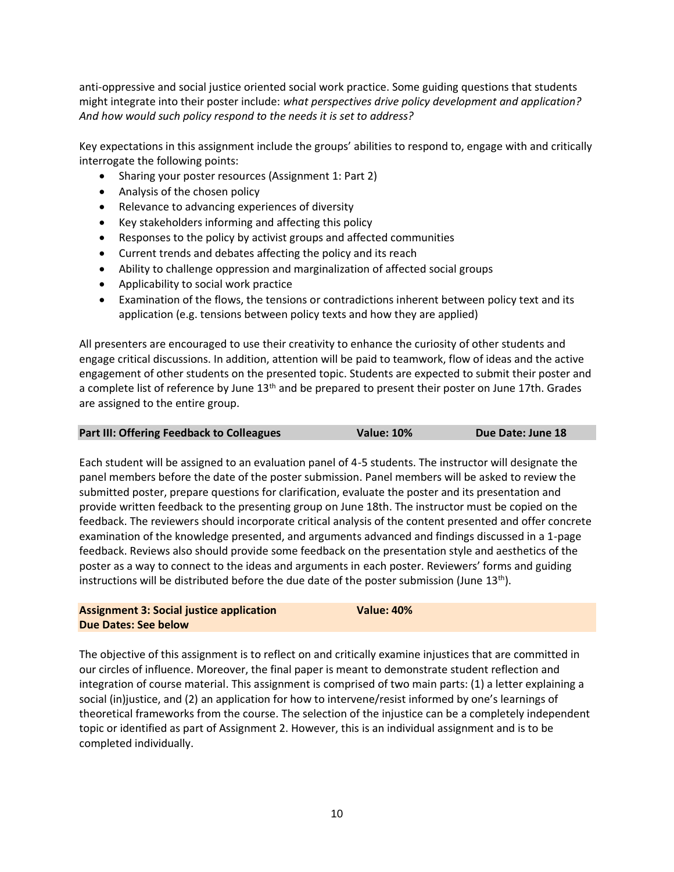anti-oppressive and social justice oriented social work practice. Some guiding questions that students might integrate into their poster include: *what perspectives drive policy development and application? And how would such policy respond to the needs it is set to address?*

Key expectations in this assignment include the groups' abilities to respond to, engage with and critically interrogate the following points:

- Sharing your poster resources (Assignment 1: Part 2)
- Analysis of the chosen policy
- Relevance to advancing experiences of diversity
- Key stakeholders informing and affecting this policy
- Responses to the policy by activist groups and affected communities
- Current trends and debates affecting the policy and its reach
- Ability to challenge oppression and marginalization of affected social groups
- Applicability to social work practice
- Examination of the flows, the tensions or contradictions inherent between policy text and its application (e.g. tensions between policy texts and how they are applied)

All presenters are encouraged to use their creativity to enhance the curiosity of other students and engage critical discussions. In addition, attention will be paid to teamwork, flow of ideas and the active engagement of other students on the presented topic. Students are expected to submit their poster and a complete list of reference by June 13<sup>th</sup> and be prepared to present their poster on June 17th. Grades are assigned to the entire group.

| Part III: Offering Feedback to Colleagues | <b>Value: 10%</b> | Due Date: June 18 |
|-------------------------------------------|-------------------|-------------------|
|-------------------------------------------|-------------------|-------------------|

Each student will be assigned to an evaluation panel of 4-5 students. The instructor will designate the panel members before the date of the poster submission. Panel members will be asked to review the submitted poster, prepare questions for clarification, evaluate the poster and its presentation and provide written feedback to the presenting group on June 18th. The instructor must be copied on the feedback. The reviewers should incorporate critical analysis of the content presented and offer concrete examination of the knowledge presented, and arguments advanced and findings discussed in a 1-page feedback. Reviews also should provide some feedback on the presentation style and aesthetics of the poster as a way to connect to the ideas and arguments in each poster. Reviewers' forms and guiding instructions will be distributed before the due date of the poster submission (June  $13<sup>th</sup>$ ).

**Assignment 3: Social justice application Value: 40% Due Dates: See below**

The objective of this assignment is to reflect on and critically examine injustices that are committed in our circles of influence. Moreover, the final paper is meant to demonstrate student reflection and integration of course material. This assignment is comprised of two main parts: (1) a letter explaining a social (in)justice, and (2) an application for how to intervene/resist informed by one's learnings of theoretical frameworks from the course. The selection of the injustice can be a completely independent topic or identified as part of Assignment 2. However, this is an individual assignment and is to be completed individually.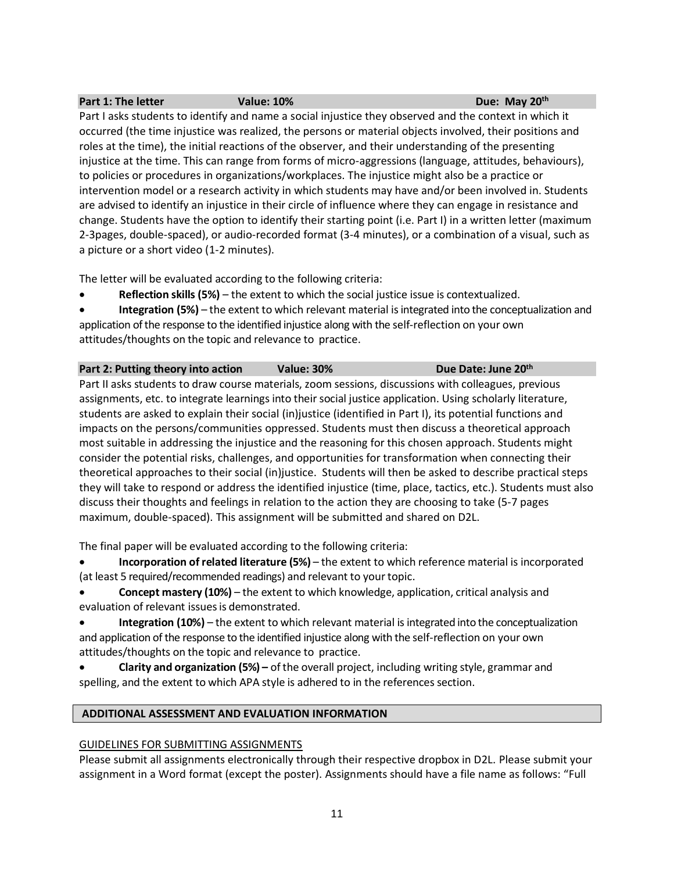### **Part 1: The letter Value: 10% Due: May 20<sup>th</sup>**

Part I asks students to identify and name a social injustice they observed and the context in which it occurred (the time injustice was realized, the persons or material objects involved, their positions and roles at the time), the initial reactions of the observer, and their understanding of the presenting injustice at the time. This can range from forms of micro-aggressions (language, attitudes, behaviours), to policies or procedures in organizations/workplaces. The injustice might also be a practice or intervention model or a research activity in which students may have and/or been involved in. Students are advised to identify an injustice in their circle of influence where they can engage in resistance and change. Students have the option to identify their starting point (i.e. Part I) in a written letter (maximum 2-3pages, double-spaced), or audio-recorded format (3-4 minutes), or a combination of a visual, such as a picture or a short video (1-2 minutes).

The letter will be evaluated according to the following criteria:

• **Reflection skills (5%)** – the extent to which the social justice issue is contextualized.

• **Integration (5%)** – the extent to which relevant material isintegrated into the conceptualization and application of the response to the identified injustice along with the self-reflection on your own attitudes/thoughts on the topic and relevance to practice.

### **Part 2: Putting theory into action Value: 30%** Due Date: June 20<sup>th</sup>

Part II asks students to draw course materials, zoom sessions, discussions with colleagues, previous assignments, etc. to integrate learnings into their social justice application. Using scholarly literature, students are asked to explain their social (in)justice (identified in Part I), its potential functions and impacts on the persons/communities oppressed. Students must then discuss a theoretical approach most suitable in addressing the injustice and the reasoning for this chosen approach. Students might consider the potential risks, challenges, and opportunities for transformation when connecting their theoretical approaches to their social (in)justice. Students will then be asked to describe practical steps they will take to respond or address the identified injustice (time, place, tactics, etc.). Students must also discuss their thoughts and feelings in relation to the action they are choosing to take (5-7 pages maximum, double-spaced). This assignment will be submitted and shared on D2L.

The final paper will be evaluated according to the following criteria:

• **Incorporation of related literature (5%)** – the extent to which reference material is incorporated (at least 5 required/recommended readings) and relevant to your topic.

- **Concept mastery (10%)** the extent to which knowledge, application, critical analysis and evaluation of relevant issues is demonstrated.
- **Integration (10%)** the extent to which relevant material is integrated into the conceptualization and application of the response to the identified injustice along with the self-reflection on your own attitudes/thoughts on the topic and relevance to practice.
- **Clarity and organization (5%) –** of the overall project, including writing style, grammar and spelling, and the extent to which APA style is adhered to in the references section.

# **ADDITIONAL ASSESSMENT AND EVALUATION INFORMATION**

# GUIDELINES FOR SUBMITTING ASSIGNMENTS

Please submit all assignments electronically through their respective dropbox in D2L. Please submit your assignment in a Word format (except the poster). Assignments should have a file name as follows: "Full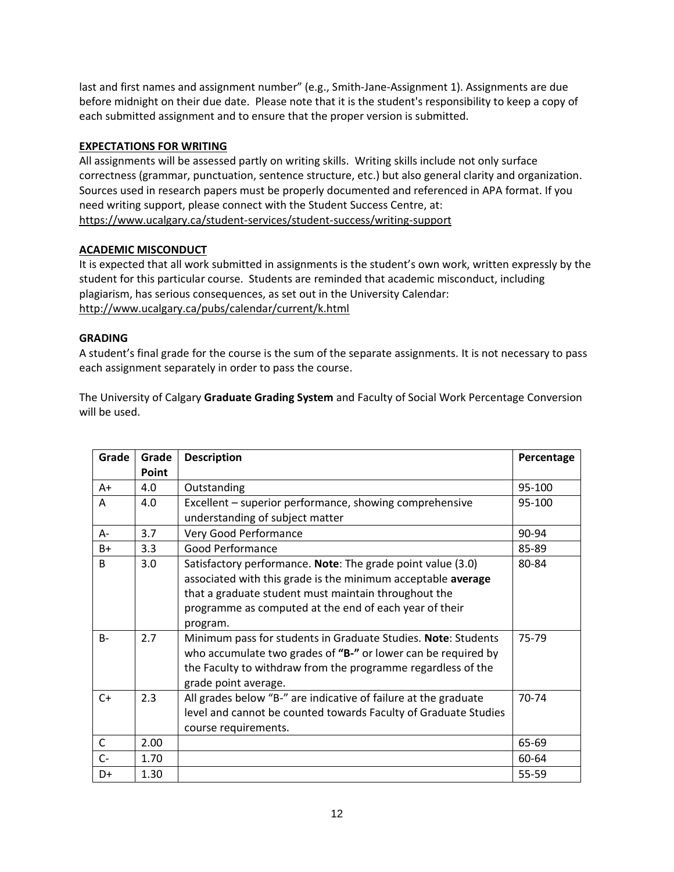last and first names and assignment number" (e.g., Smith-Jane-Assignment 1). Assignments are due before midnight on their due date. Please note that it is the student's responsibility to keep a copy of each submitted assignment and to ensure that the proper version is submitted.

# **EXPECTATIONS FOR WRITING**

All assignments will be assessed partly on writing skills. Writing skills include not only surface correctness (grammar, punctuation, sentence structure, etc.) but also general clarity and organization. Sources used in research papers must be properly documented and referenced in APA format. If you need writing support, please connect with the Student Success Centre, at: <https://www.ucalgary.ca/student-services/student-success/writing-support>

# **ACADEMIC MISCONDUCT**

It is expected that all work submitted in assignments is the student's own work, written expressly by the student for this particular course. Students are reminded that academic misconduct, including plagiarism, has serious consequences, as set out in the University Calendar: <http://www.ucalgary.ca/pubs/calendar/current/k.html>

# **GRADING**

A student's final grade for the course is the sum of the separate assignments. It is not necessary to pass each assignment separately in order to pass the course.

The University of Calgary **Graduate Grading System** and Faculty of Social Work Percentage Conversion will be used.

| Grade        | Grade | <b>Description</b>                                              | Percentage |
|--------------|-------|-----------------------------------------------------------------|------------|
|              | Point |                                                                 |            |
| $A+$         | 4.0   | Outstanding                                                     | 95-100     |
| A            | 4.0   | Excellent - superior performance, showing comprehensive         | 95-100     |
|              |       | understanding of subject matter                                 |            |
| A-           | 3.7   | Very Good Performance                                           | 90-94      |
| $B+$         | 3.3   | <b>Good Performance</b>                                         | 85-89      |
| B            | 3.0   | Satisfactory performance. Note: The grade point value (3.0)     | 80-84      |
|              |       | associated with this grade is the minimum acceptable average    |            |
|              |       | that a graduate student must maintain throughout the            |            |
|              |       | programme as computed at the end of each year of their          |            |
|              |       | program.                                                        |            |
| $B -$        | 2.7   | Minimum pass for students in Graduate Studies. Note: Students   | 75-79      |
|              |       | who accumulate two grades of "B-" or lower can be required by   |            |
|              |       | the Faculty to withdraw from the programme regardless of the    |            |
|              |       | grade point average.                                            |            |
| $C+$         | 2.3   | All grades below "B-" are indicative of failure at the graduate | 70-74      |
|              |       | level and cannot be counted towards Faculty of Graduate Studies |            |
|              |       | course requirements.                                            |            |
| $\mathsf{C}$ | 2.00  |                                                                 | 65-69      |
| $C -$        | 1.70  |                                                                 | 60-64      |
| D+           | 1.30  |                                                                 | 55-59      |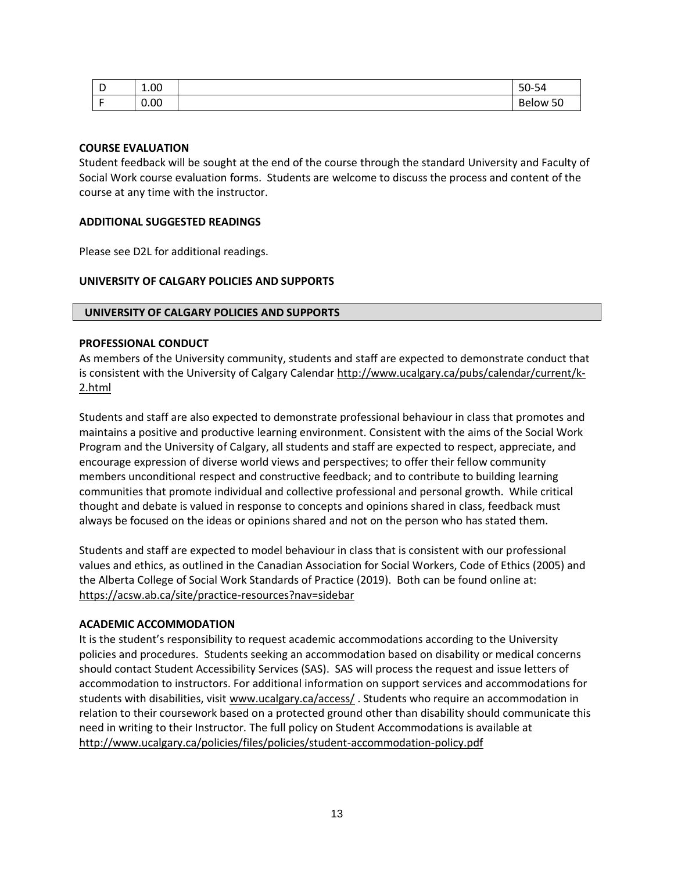| Ð<br>◡ | 1.00 | $50 -$<br>- -<br>-94                           |
|--------|------|------------------------------------------------|
|        | 0.00 | $\sim$<br>$\overline{\phantom{0}}$<br>Below 50 |

### **COURSE EVALUATION**

Student feedback will be sought at the end of the course through the standard University and Faculty of Social Work course evaluation forms. Students are welcome to discuss the process and content of the course at any time with the instructor.

### **ADDITIONAL SUGGESTED READINGS**

Please see D2L for additional readings.

### **UNIVERSITY OF CALGARY POLICIES AND SUPPORTS**

### **UNIVERSITY OF CALGARY POLICIES AND SUPPORTS**

## **PROFESSIONAL CONDUCT**

As members of the University community, students and staff are expected to demonstrate conduct that is consistent with the University of Calgary Calendar [http://www.ucalgary.ca/pubs/calendar/current/k-](http://www.ucalgary.ca/pubs/calendar/current/k-2.html)[2.html](http://www.ucalgary.ca/pubs/calendar/current/k-2.html)

Students and staff are also expected to demonstrate professional behaviour in class that promotes and maintains a positive and productive learning environment. Consistent with the aims of the Social Work Program and the University of Calgary, all students and staff are expected to respect, appreciate, and encourage expression of diverse world views and perspectives; to offer their fellow community members unconditional respect and constructive feedback; and to contribute to building learning communities that promote individual and collective professional and personal growth. While critical thought and debate is valued in response to concepts and opinions shared in class, feedback must always be focused on the ideas or opinions shared and not on the person who has stated them.

Students and staff are expected to model behaviour in class that is consistent with our professional values and ethics, as outlined in the Canadian Association for Social Workers, Code of Ethics (2005) and the Alberta College of Social Work Standards of Practice (2019). Both can be found online at: <https://acsw.ab.ca/site/practice-resources?nav=sidebar>

### **ACADEMIC ACCOMMODATION**

It is the student's responsibility to request academic accommodations according to the University policies and procedures. Students seeking an accommodation based on disability or medical concerns should contact Student Accessibility Services (SAS). SAS will process the request and issue letters of accommodation to instructors. For additional information on support services and accommodations for students with disabilities, visit [www.ucalgary.ca/access/](http://www.ucalgary.ca/access/). Students who require an accommodation in relation to their coursework based on a protected ground other than disability should communicate this need in writing to their Instructor. The full policy on Student Accommodations is available at <http://www.ucalgary.ca/policies/files/policies/student-accommodation-policy.pdf>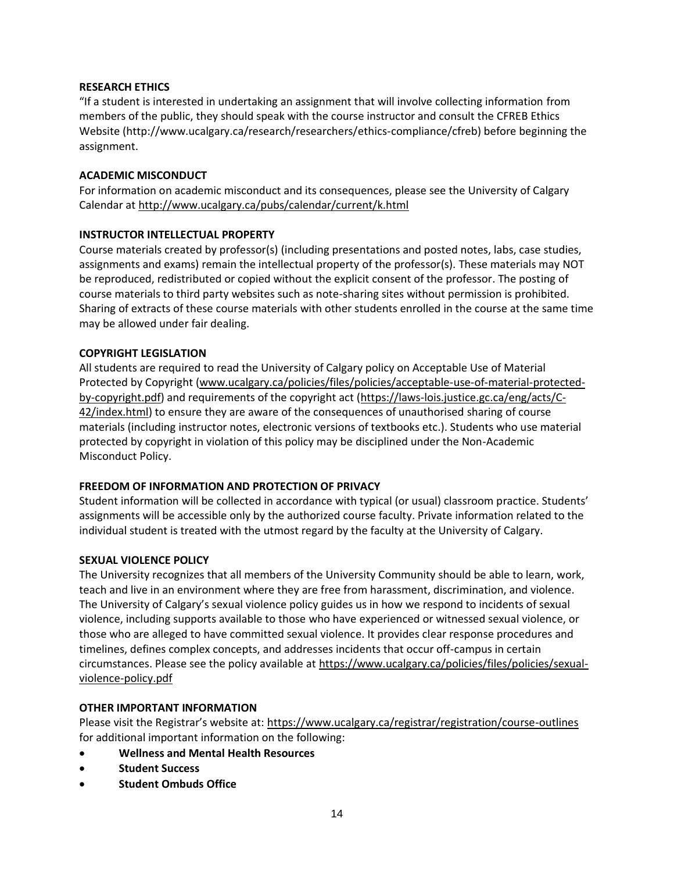# **RESEARCH ETHICS**

"If a student is interested in undertaking an assignment that will involve collecting information from members of the public, they should speak with the course instructor and consult the CFREB Ethics Website [\(http://www.ucalgary.ca/research/researchers/ethics-compliance/cfreb\)](http://www.ucalgary.ca/research/researchers/ethics-compliance/cfreb) before beginning the assignment.

## **ACADEMIC MISCONDUCT**

For information on academic misconduct and its consequences, please see the University of Calgary Calendar a[t http://www.ucalgary.ca/pubs/calendar/current/k.html](http://www.ucalgary.ca/pubs/calendar/current/k.html)

# **INSTRUCTOR INTELLECTUAL PROPERTY**

Course materials created by professor(s) (including presentations and posted notes, labs, case studies, assignments and exams) remain the intellectual property of the professor(s). These materials may NOT be reproduced, redistributed or copied without the explicit consent of the professor. The posting of course materials to third party websites such as note-sharing sites without permission is prohibited. Sharing of extracts of these course materials with other students enrolled in the course at the same time may be allowed under fair dealing.

### **COPYRIGHT LEGISLATION**

All students are required to read the University of Calgary policy on Acceptable Use of Material Protected by Copyright [\(www.ucalgary.ca/policies/files/policies/acceptable-use-of-material-protected](http://www.ucalgary.ca/policies/files/policies/acceptable-use-of-material-protected-by-copyright.pdf)[by-copyright.pdf\)](http://www.ucalgary.ca/policies/files/policies/acceptable-use-of-material-protected-by-copyright.pdf) and requirements of the copyright act [\(https://laws-lois.justice.gc.ca/eng/acts/C-](https://laws-lois.justice.gc.ca/eng/acts/C-42/index.html)[42/index.html\)](https://laws-lois.justice.gc.ca/eng/acts/C-42/index.html) to ensure they are aware of the consequences of unauthorised sharing of course materials (including instructor notes, electronic versions of textbooks etc.). Students who use material protected by copyright in violation of this policy may be disciplined under the Non-Academic Misconduct Policy.

# **FREEDOM OF INFORMATION AND PROTECTION OF PRIVACY**

Student information will be collected in accordance with typical (or usual) classroom practice. Students' assignments will be accessible only by the authorized course faculty. Private information related to the individual student is treated with the utmost regard by the faculty at the University of Calgary.

# **SEXUAL VIOLENCE POLICY**

The University recognizes that all members of the University Community should be able to learn, work, teach and live in an environment where they are free from harassment, discrimination, and violence. The University of Calgary's sexual violence policy guides us in how we respond to incidents of sexual violence, including supports available to those who have experienced or witnessed sexual violence, or those who are alleged to have committed sexual violence. It provides clear response procedures and timelines, defines complex concepts, and addresses incidents that occur off-campus in certain circumstances. Please see the policy available a[t https://www.ucalgary.ca/policies/files/policies/sexual](https://www.ucalgary.ca/policies/files/policies/sexual-violence-policy.pdf)[violence-policy.pdf](https://www.ucalgary.ca/policies/files/policies/sexual-violence-policy.pdf)

# **OTHER IMPORTANT INFORMATION**

Please visit the Registrar's website at: <https://www.ucalgary.ca/registrar/registration/course-outlines> for additional important information on the following:

- **Wellness and Mental Health Resources**
- **Student Success**
- **Student Ombuds Office**